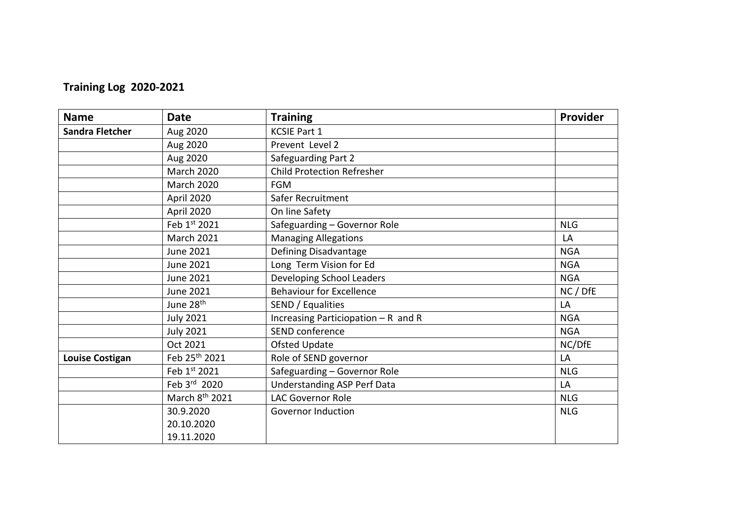## **Training Log 2020-2021**

| <b>Name</b>            | <b>Date</b>                | <b>Training</b>                     | Provider   |
|------------------------|----------------------------|-------------------------------------|------------|
| <b>Sandra Fletcher</b> | Aug 2020                   | <b>KCSIE Part 1</b>                 |            |
|                        | Aug 2020                   | Prevent Level 2                     |            |
|                        | Aug 2020                   | Safeguarding Part 2                 |            |
|                        | <b>March 2020</b>          | <b>Child Protection Refresher</b>   |            |
|                        | <b>March 2020</b>          | <b>FGM</b>                          |            |
|                        | April 2020                 | Safer Recruitment                   |            |
|                        | April 2020                 | On line Safety                      |            |
|                        | Feb 1st 2021               | Safeguarding - Governor Role        | <b>NLG</b> |
|                        | <b>March 2021</b>          | <b>Managing Allegations</b>         | LA         |
|                        | June 2021                  | Defining Disadvantage               | <b>NGA</b> |
|                        | June 2021                  | Long Term Vision for Ed             | <b>NGA</b> |
|                        | <b>June 2021</b>           | Developing School Leaders           | <b>NGA</b> |
|                        | June 2021                  | <b>Behaviour for Excellence</b>     | NC / DfE   |
|                        | June 28 <sup>th</sup>      | SEND / Equalities                   | LA         |
|                        | <b>July 2021</b>           | Increasing Particiopation - R and R | <b>NGA</b> |
|                        | <b>July 2021</b>           | SEND conference                     | <b>NGA</b> |
|                        | Oct 2021                   | <b>Ofsted Update</b>                | NC/DfE     |
| <b>Louise Costigan</b> | Feb 25th 2021              | Role of SEND governor               | LA         |
|                        | Feb 1st 2021               | Safeguarding - Governor Role        | <b>NLG</b> |
|                        | Feb 3rd 2020               | <b>Understanding ASP Perf Data</b>  | LA         |
|                        | March 8 <sup>th</sup> 2021 | <b>LAC Governor Role</b>            | <b>NLG</b> |
|                        | 30.9.2020                  | <b>Governor Induction</b>           | <b>NLG</b> |
|                        | 20.10.2020                 |                                     |            |
|                        | 19.11.2020                 |                                     |            |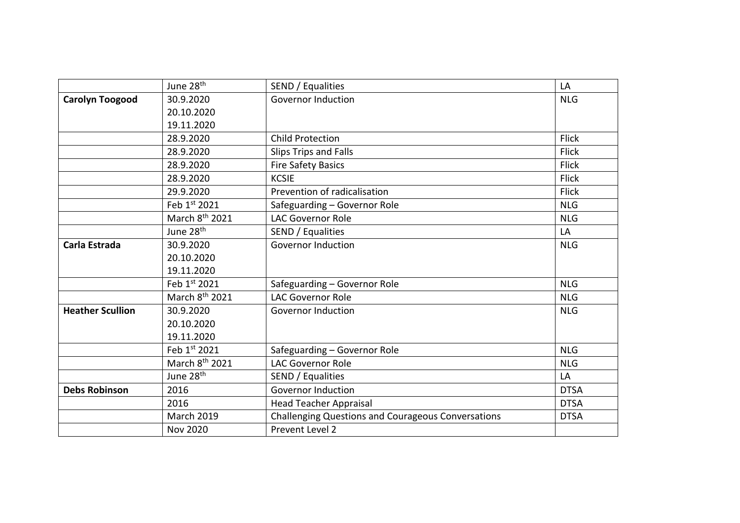|                         | June 28 <sup>th</sup>      | SEND / Equalities                                         | LA           |
|-------------------------|----------------------------|-----------------------------------------------------------|--------------|
| <b>Carolyn Toogood</b>  | 30.9.2020                  | <b>Governor Induction</b>                                 | <b>NLG</b>   |
|                         | 20.10.2020                 |                                                           |              |
|                         | 19.11.2020                 |                                                           |              |
|                         | 28.9.2020                  | <b>Child Protection</b>                                   | <b>Flick</b> |
|                         | 28.9.2020                  | Slips Trips and Falls                                     | <b>Flick</b> |
|                         | 28.9.2020                  | <b>Fire Safety Basics</b>                                 | <b>Flick</b> |
|                         | 28.9.2020                  | <b>KCSIE</b>                                              | <b>Flick</b> |
|                         | 29.9.2020                  | Prevention of radicalisation                              | <b>Flick</b> |
|                         | Feb 1st 2021               | Safeguarding - Governor Role                              | <b>NLG</b>   |
|                         | March 8 <sup>th</sup> 2021 | <b>LAC Governor Role</b>                                  | <b>NLG</b>   |
|                         | June 28 <sup>th</sup>      | SEND / Equalities                                         | LA           |
| Carla Estrada           | 30.9.2020                  | <b>Governor Induction</b>                                 | <b>NLG</b>   |
|                         | 20.10.2020                 |                                                           |              |
|                         | 19.11.2020                 |                                                           |              |
|                         | Feb 1st 2021               | Safeguarding - Governor Role                              | <b>NLG</b>   |
|                         | March 8th 2021             | <b>LAC Governor Role</b>                                  | <b>NLG</b>   |
| <b>Heather Scullion</b> | 30.9.2020                  | <b>Governor Induction</b>                                 | <b>NLG</b>   |
|                         | 20.10.2020                 |                                                           |              |
|                         | 19.11.2020                 |                                                           |              |
|                         | Feb 1st 2021               | Safeguarding - Governor Role                              | <b>NLG</b>   |
|                         | March 8 <sup>th</sup> 2021 | <b>LAC Governor Role</b>                                  | <b>NLG</b>   |
|                         | June 28 <sup>th</sup>      | SEND / Equalities                                         | LA           |
| <b>Debs Robinson</b>    | 2016                       | <b>Governor Induction</b>                                 | <b>DTSA</b>  |
|                         | 2016                       | <b>Head Teacher Appraisal</b>                             | <b>DTSA</b>  |
|                         | <b>March 2019</b>          | <b>Challenging Questions and Courageous Conversations</b> | <b>DTSA</b>  |
|                         | <b>Nov 2020</b>            | Prevent Level 2                                           |              |